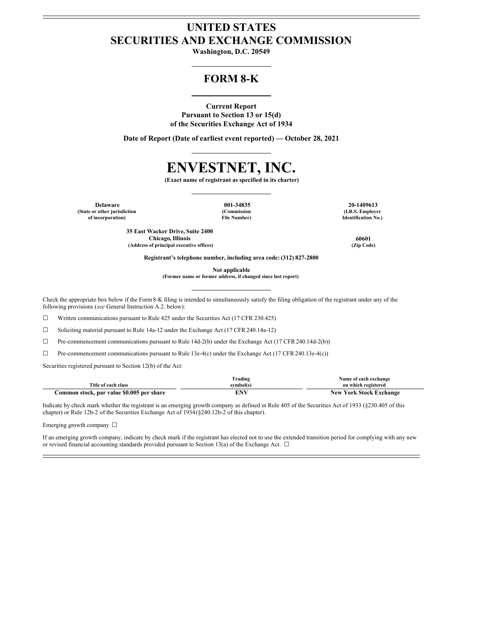# **UNITED STATES SECURITIES AND EXCHANGE COMMISSION**

**Washington, D.C. 20549**

# **FORM 8-K**

# **Current Report Pursuant to Section 13 or 15(d) of the Securities Exchange Act of 1934**

**Date of Report (Date of earliest event reported) — October 28, 2021**

# **ENVESTNET, INC.**

**(Exact name of registrant as specified in its charter)**

**Delaware 001-34835 20-1409613 (State or other jurisdiction of incorporation)**

**(Commission File Number)**

**(I.R.S. Employer Identification No.)**

**35 East Wacker Drive, Suite 2400 Chicago, Illinois 60601 (Address of principal executive offices) (Zip Code)**

**Registrant's telephone number, including area code: (312) 827-2800**

**Not applicable**

**(Former name or former address, if changed since last report)**

Check the appropriate box below if the Form8-K filing is intended to simultaneously satisfy the filing obligation of the registrant under any of the following provisions (*see* General Instruction A.2. below):

 $\Box$  Written communications pursuant to Rule 425 under the Securities Act (17 CFR 230.425)

☐ Soliciting material pursuant to Rule 14a-12 under the Exchange Act (17 CFR 240.14a-12)

 $\Box$  Pre-commencement communications pursuant to Rule 14d-2(b) under the Exchange Act (17 CFR 240.14d-2(b))

 $\Box$  Pre-commencement communications pursuant to Rule 13e-4(c) under the Exchange Act (17 CFR 240.13e-4(c))

Securities registered pursuant to Section 12(b) of the Act:

|                                           | Trading   | Name of each exchange          |
|-------------------------------------------|-----------|--------------------------------|
| Title of each class                       | svmbol(s` | on which registered            |
| Common stock, par value \$0.005 per share | FNV       | <b>New York Stock Exchange</b> |

Indicate by check mark whether the registrant is an emerging growth company as defined in Rule 405 of the Securities Act of 1933 (§230.405 of this chapter) or Rule 12b-2 of the Securities Exchange Act of 1934(§240.12b-2 of this chapter).

Emerging growth company ☐

If an emerging growth company, indicate by check mark if the registrant has elected not to use the extended transition period for complying with any new or revised financial accounting standards provided pursuant to Section 13(a) of the Exchange Act.  $\Box$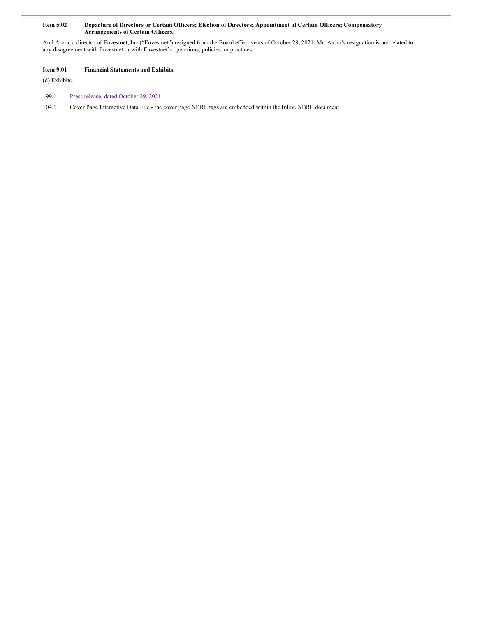#### Item 5.02 Departure of Directors or Certain Officers; Election of Directors; Appointment of Certain Officers; Compensatory **Arrangements of Certain Officers.**

Anil Arora, a director of Envestnet, Inc.("Envestnet") resigned from the Board effective as of October 28, 2021. Mr. Arora's resignation is not related to any disagreement with Envestnet or with Envestnet's operations, policies, or practices.

## **Item 9.01 Financial Statements and Exhibits.**

(d) Exhibits.

#### 99.1 Press release, dated [October](#page-3-0) 29, 2021

104.1 Cover Page Interactive Data File - the cover page XBRL tags are embedded within the Inline XBRL document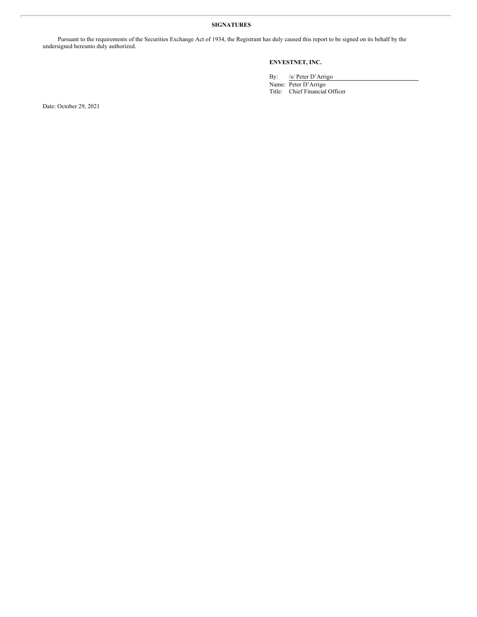## **SIGNATURES**

Pursuant to the requirements of the Securities Exchange Act of 1934, the Registrant has duly caused this report to be signed on its behalf by the undersigned hereunto duly authorized.

## **ENVESTNET, INC.**

By: /s/ Peter D'Arrigo

Name: Peter D'Arrigo Title: Chief Financial Officer

Date: October 29, 2021